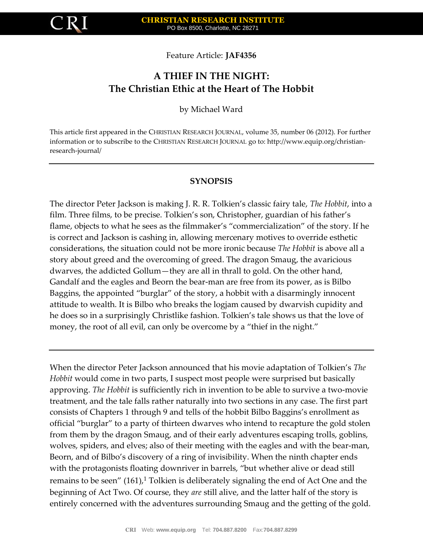

Feature Article: **JAF4356**

# **A THIEF IN THE NIGHT: The Christian Ethic at the Heart of The Hobbit**

by Michael Ward

This article first appeared in the CHRISTIAN RESEARCH JOURNAL, volume 35, number 06 (2012). For further information or to subscribe to the CHRISTIAN RESEARCH JOURNAL go to: http://www.equip.org/christianresearch-journal/

## **SYNOPSIS**

The director Peter Jackson is making J. R. R. Tolkien's classic fairy tale, *The Hobbit*, into a film. Three films, to be precise. Tolkien's son, Christopher, guardian of his father's flame, objects to what he sees as the filmmaker's "commercialization" of the story. If he is correct and Jackson is cashing in, allowing mercenary motives to override esthetic considerations, the situation could not be more ironic because *The Hobbit* is above all a story about greed and the overcoming of greed. The dragon Smaug, the avaricious dwarves, the addicted Gollum—they are all in thrall to gold. On the other hand, Gandalf and the eagles and Beorn the bear-man are free from its power, as is Bilbo Baggins, the appointed "burglar" of the story, a hobbit with a disarmingly innocent attitude to wealth. It is Bilbo who breaks the logjam caused by dwarvish cupidity and he does so in a surprisingly Christlike fashion. Tolkien's tale shows us that the love of money, the root of all evil, can only be overcome by a "thief in the night."

When the director Peter Jackson announced that his movie adaptation of Tolkien's *The Hobbit* would come in two parts, I suspect most people were surprised but basically approving. *The Hobbit* is sufficiently rich in invention to be able to survive a two-movie treatment, and the tale falls rather naturally into two sections in any case. The first part consists of Chapters 1 through 9 and tells of the hobbit Bilbo Baggins's enrollment as official "burglar" to a party of thirteen dwarves who intend to recapture the gold stolen from them by the dragon Smaug, and of their early adventures escaping trolls, goblins, wolves, spiders, and elves; also of their meeting with the eagles and with the bear-man, Beorn, and of Bilbo's discovery of a ring of invisibility. When the ninth chapter ends with the protagonists floating downriver in barrels, "but whether alive or dead still remains to be seen"  $(161)$ ,<sup>1</sup> Tolkien is deliberately signaling the end of Act One and the beginning of Act Two. Of course, they *are* still alive, and the latter half of the story is entirely concerned with the adventures surrounding Smaug and the getting of the gold.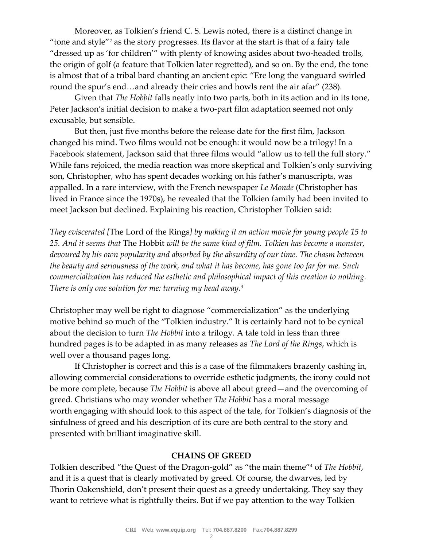Moreover, as Tolkien's friend C. S. Lewis noted, there is a distinct change in "tone and style"<sup>2</sup> as the story progresses. Its flavor at the start is that of a fairy tale "dressed up as 'for children'" with plenty of knowing asides about two-headed trolls, the origin of golf (a feature that Tolkien later regretted), and so on. By the end, the tone is almost that of a tribal bard chanting an ancient epic: "Ere long the vanguard swirled round the spur's end…and already their cries and howls rent the air afar" (238).

Given that *The Hobbit* falls neatly into two parts, both in its action and in its tone, Peter Jackson's initial decision to make a two-part film adaptation seemed not only excusable, but sensible.

But then, just five months before the release date for the first film, Jackson changed his mind. Two films would not be enough: it would now be a trilogy! In a Facebook statement, Jackson said that three films would "allow us to tell the full story." While fans rejoiced, the media reaction was more skeptical and Tolkien's only surviving son, Christopher, who has spent decades working on his father's manuscripts, was appalled. In a rare interview, with the French newspaper *Le Monde* (Christopher has lived in France since the 1970s), he revealed that the Tolkien family had been invited to meet Jackson but declined. Explaining his reaction, Christopher Tolkien said:

*They eviscerated [*The Lord of the Rings*] by making it an action movie for young people 15 to 25. And it seems that* The Hobbit *will be the same kind of film. Tolkien has become a monster, devoured by his own popularity and absorbed by the absurdity of our time. The chasm between the beauty and seriousness of the work, and what it has become, has gone too far for me. Such commercialization has reduced the esthetic and philosophical impact of this creation to nothing. There is only one solution for me: turning my head away.<sup>3</sup>*

Christopher may well be right to diagnose "commercialization" as the underlying motive behind so much of the "Tolkien industry." It is certainly hard not to be cynical about the decision to turn *The Hobbit* into a trilogy. A tale told in less than three hundred pages is to be adapted in as many releases as *The Lord of the Rings*, which is well over a thousand pages long.

If Christopher is correct and this is a case of the filmmakers brazenly cashing in, allowing commercial considerations to override esthetic judgments, the irony could not be more complete, because *The Hobbit* is above all about greed—and the overcoming of greed. Christians who may wonder whether *The Hobbit* has a moral message worth engaging with should look to this aspect of the tale, for Tolkien's diagnosis of the sinfulness of greed and his description of its cure are both central to the story and presented with brilliant imaginative skill.

## **CHAINS OF GREED**

Tolkien described "the Quest of the Dragon-gold" as "the main theme"<sup>4</sup> of *The Hobbit*, and it is a quest that is clearly motivated by greed. Of course, the dwarves, led by Thorin Oakenshield, don't present their quest as a greedy undertaking. They say they want to retrieve what is rightfully theirs. But if we pay attention to the way Tolkien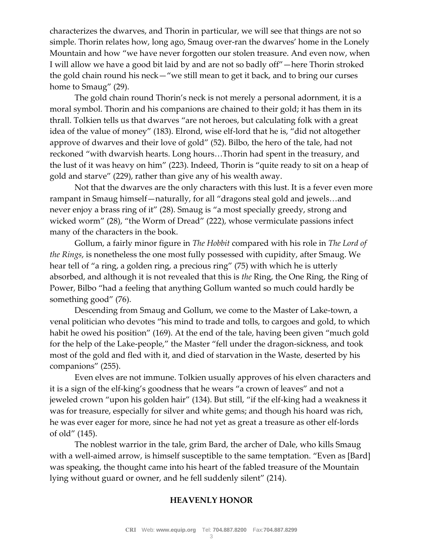characterizes the dwarves, and Thorin in particular, we will see that things are not so simple. Thorin relates how, long ago, Smaug over-ran the dwarves' home in the Lonely Mountain and how "we have never forgotten our stolen treasure. And even now, when I will allow we have a good bit laid by and are not so badly off"—here Thorin stroked the gold chain round his neck—"we still mean to get it back, and to bring our curses home to Smaug" (29).

The gold chain round Thorin's neck is not merely a personal adornment, it is a moral symbol. Thorin and his companions are chained to their gold; it has them in its thrall. Tolkien tells us that dwarves "are not heroes, but calculating folk with a great idea of the value of money" (183). Elrond, wise elf-lord that he is, "did not altogether approve of dwarves and their love of gold" (52). Bilbo, the hero of the tale, had not reckoned "with dwarvish hearts. Long hours…Thorin had spent in the treasury, and the lust of it was heavy on him" (223). Indeed, Thorin is "quite ready to sit on a heap of gold and starve" (229), rather than give any of his wealth away.

Not that the dwarves are the only characters with this lust. It is a fever even more rampant in Smaug himself—naturally, for all "dragons steal gold and jewels…and never enjoy a brass ring of it" (28). Smaug is "a most specially greedy, strong and wicked worm" (28), "the Worm of Dread" (222), whose vermiculate passions infect many of the characters in the book.

Gollum, a fairly minor figure in *The Hobbit* compared with his role in *The Lord of the Rings*, is nonetheless the one most fully possessed with cupidity, after Smaug. We hear tell of "a ring, a golden ring, a precious ring" (75) with which he is utterly absorbed, and although it is not revealed that this is *the* Ring, the One Ring, the Ring of Power, Bilbo "had a feeling that anything Gollum wanted so much could hardly be something good" (76).

Descending from Smaug and Gollum, we come to the Master of Lake-town, a venal politician who devotes "his mind to trade and tolls, to cargoes and gold, to which habit he owed his position" (169). At the end of the tale, having been given "much gold for the help of the Lake-people," the Master "fell under the dragon-sickness, and took most of the gold and fled with it, and died of starvation in the Waste, deserted by his companions" (255).

Even elves are not immune. Tolkien usually approves of his elven characters and it is a sign of the elf-king's goodness that he wears "a crown of leaves" and not a jeweled crown "upon his golden hair" (134). But still, "if the elf-king had a weakness it was for treasure, especially for silver and white gems; and though his hoard was rich, he was ever eager for more, since he had not yet as great a treasure as other elf-lords of old" (145).

The noblest warrior in the tale, grim Bard, the archer of Dale, who kills Smaug with a well-aimed arrow, is himself susceptible to the same temptation. "Even as [Bard] was speaking, the thought came into his heart of the fabled treasure of the Mountain lying without guard or owner, and he fell suddenly silent" (214).

### **HEAVENLY HONOR**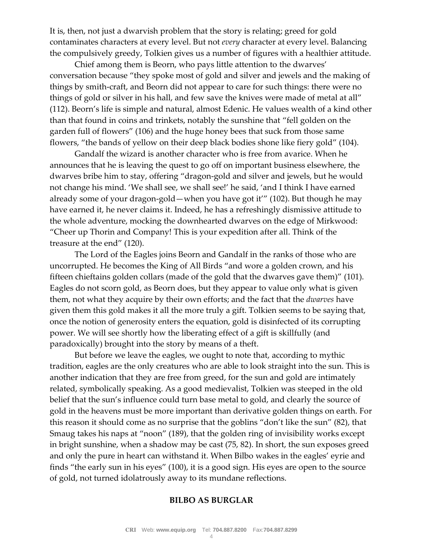It is, then, not just a dwarvish problem that the story is relating; greed for gold contaminates characters at every level. But not *every* character at every level. Balancing the compulsively greedy, Tolkien gives us a number of figures with a healthier attitude.

Chief among them is Beorn, who pays little attention to the dwarves' conversation because "they spoke most of gold and silver and jewels and the making of things by smith-craft, and Beorn did not appear to care for such things: there were no things of gold or silver in his hall, and few save the knives were made of metal at all" (112). Beorn's life is simple and natural, almost Edenic. He values wealth of a kind other than that found in coins and trinkets, notably the sunshine that "fell golden on the garden full of flowers" (106) and the huge honey bees that suck from those same flowers, "the bands of yellow on their deep black bodies shone like fiery gold" (104).

Gandalf the wizard is another character who is free from avarice. When he announces that he is leaving the quest to go off on important business elsewhere, the dwarves bribe him to stay, offering "dragon-gold and silver and jewels, but he would not change his mind. 'We shall see, we shall see!' he said, 'and I think I have earned already some of your dragon-gold—when you have got it'" (102). But though he may have earned it, he never claims it. Indeed, he has a refreshingly dismissive attitude to the whole adventure, mocking the downhearted dwarves on the edge of Mirkwood: "Cheer up Thorin and Company! This is your expedition after all. Think of the treasure at the end" (120).

The Lord of the Eagles joins Beorn and Gandalf in the ranks of those who are uncorrupted. He becomes the King of All Birds "and wore a golden crown, and his fifteen chieftains golden collars (made of the gold that the dwarves gave them)" (101). Eagles do not scorn gold, as Beorn does, but they appear to value only what is given them, not what they acquire by their own efforts; and the fact that the *dwarves* have given them this gold makes it all the more truly a gift. Tolkien seems to be saying that, once the notion of generosity enters the equation, gold is disinfected of its corrupting power. We will see shortly how the liberating effect of a gift is skillfully (and paradoxically) brought into the story by means of a theft.

But before we leave the eagles, we ought to note that, according to mythic tradition, eagles are the only creatures who are able to look straight into the sun. This is another indication that they are free from greed, for the sun and gold are intimately related, symbolically speaking. As a good medievalist, Tolkien was steeped in the old belief that the sun's influence could turn base metal to gold, and clearly the source of gold in the heavens must be more important than derivative golden things on earth. For this reason it should come as no surprise that the goblins "don't like the sun" (82), that Smaug takes his naps at "noon" (189), that the golden ring of invisibility works except in bright sunshine, when a shadow may be cast (75, 82). In short, the sun exposes greed and only the pure in heart can withstand it. When Bilbo wakes in the eagles' eyrie and finds "the early sun in his eyes" (100), it is a good sign. His eyes are open to the source of gold, not turned idolatrously away to its mundane reflections.

### **BILBO AS BURGLAR**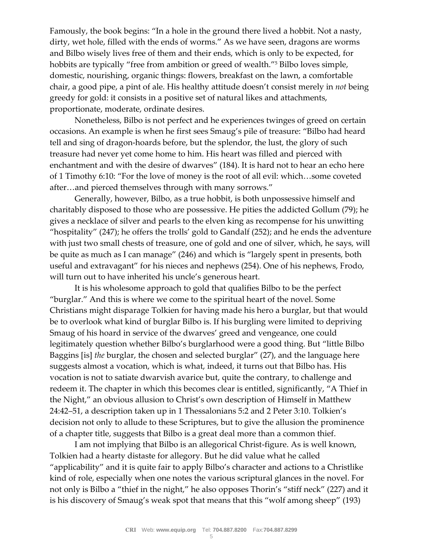Famously, the book begins: "In a hole in the ground there lived a hobbit. Not a nasty, dirty, wet hole, filled with the ends of worms." As we have seen, dragons are worms and Bilbo wisely lives free of them and their ends, which is only to be expected, for hobbits are typically "free from ambition or greed of wealth."<sup>5</sup> Bilbo loves simple, domestic, nourishing, organic things: flowers, breakfast on the lawn, a comfortable chair, a good pipe, a pint of ale. His healthy attitude doesn't consist merely in *not* being greedy for gold: it consists in a positive set of natural likes and attachments, proportionate, moderate, ordinate desires.

Nonetheless, Bilbo is not perfect and he experiences twinges of greed on certain occasions. An example is when he first sees Smaug's pile of treasure: "Bilbo had heard tell and sing of dragon-hoards before, but the splendor, the lust, the glory of such treasure had never yet come home to him. His heart was filled and pierced with enchantment and with the desire of dwarves" (184). It is hard not to hear an echo here of 1 Timothy 6:10: "For the love of money is the root of all evil: which…some coveted after…and pierced themselves through with many sorrows."

Generally, however, Bilbo, as a true hobbit, is both unpossessive himself and charitably disposed to those who are possessive. He pities the addicted Gollum (79); he gives a necklace of silver and pearls to the elven king as recompense for his unwitting "hospitality" (247); he offers the trolls' gold to Gandalf (252); and he ends the adventure with just two small chests of treasure, one of gold and one of silver, which, he says, will be quite as much as I can manage" (246) and which is "largely spent in presents, both useful and extravagant" for his nieces and nephews (254). One of his nephews, Frodo, will turn out to have inherited his uncle's generous heart.

It is his wholesome approach to gold that qualifies Bilbo to be the perfect "burglar." And this is where we come to the spiritual heart of the novel. Some Christians might disparage Tolkien for having made his hero a burglar, but that would be to overlook what kind of burglar Bilbo is. If his burgling were limited to depriving Smaug of his hoard in service of the dwarves' greed and vengeance, one could legitimately question whether Bilbo's burglarhood were a good thing. But "little Bilbo Baggins [is] *the* burglar, the chosen and selected burglar" (27), and the language here suggests almost a vocation, which is what, indeed, it turns out that Bilbo has. His vocation is not to satiate dwarvish avarice but, quite the contrary, to challenge and redeem it. The chapter in which this becomes clear is entitled, significantly, "A Thief in the Night," an obvious allusion to Christ's own description of Himself in Matthew 24:42–51, a description taken up in 1 Thessalonians 5:2 and 2 Peter 3:10. Tolkien's decision not only to allude to these Scriptures, but to give the allusion the prominence of a chapter title, suggests that Bilbo is a great deal more than a common thief.

I am not implying that Bilbo is an allegorical Christ-figure. As is well known, Tolkien had a hearty distaste for allegory. But he did value what he called "applicability" and it is quite fair to apply Bilbo's character and actions to a Christlike kind of role, especially when one notes the various scriptural glances in the novel. For not only is Bilbo a "thief in the night," he also opposes Thorin's "stiff neck" (227) and it is his discovery of Smaug's weak spot that means that this "wolf among sheep" (193)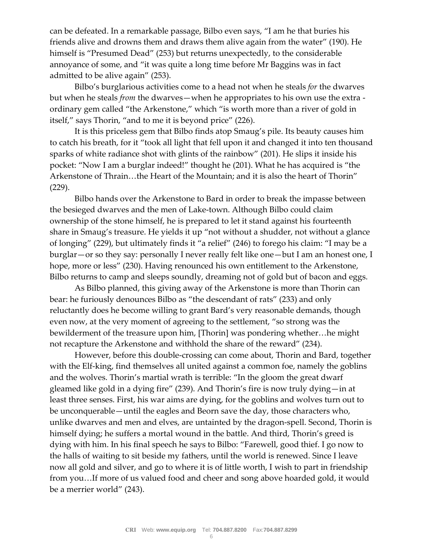can be defeated. In a remarkable passage, Bilbo even says, "I am he that buries his friends alive and drowns them and draws them alive again from the water" (190). He himself is "Presumed Dead" (253) but returns unexpectedly, to the considerable annoyance of some, and "it was quite a long time before Mr Baggins was in fact admitted to be alive again" (253).

Bilbo's burglarious activities come to a head not when he steals *for* the dwarves but when he steals *from* the dwarves—when he appropriates to his own use the extra ordinary gem called "the Arkenstone," which "is worth more than a river of gold in itself," says Thorin, "and to me it is beyond price" (226).

It is this priceless gem that Bilbo finds atop Smaug's pile. Its beauty causes him to catch his breath, for it "took all light that fell upon it and changed it into ten thousand sparks of white radiance shot with glints of the rainbow" (201). He slips it inside his pocket: "Now I am a burglar indeed!" thought he (201). What he has acquired is "the Arkenstone of Thrain…the Heart of the Mountain; and it is also the heart of Thorin" (229).

Bilbo hands over the Arkenstone to Bard in order to break the impasse between the besieged dwarves and the men of Lake-town. Although Bilbo could claim ownership of the stone himself, he is prepared to let it stand against his fourteenth share in Smaug's treasure. He yields it up "not without a shudder, not without a glance of longing" (229), but ultimately finds it "a relief" (246) to forego his claim: "I may be a burglar—or so they say: personally I never really felt like one—but I am an honest one, I hope, more or less" (230). Having renounced his own entitlement to the Arkenstone, Bilbo returns to camp and sleeps soundly, dreaming not of gold but of bacon and eggs.

As Bilbo planned, this giving away of the Arkenstone is more than Thorin can bear: he furiously denounces Bilbo as "the descendant of rats" (233) and only reluctantly does he become willing to grant Bard's very reasonable demands, though even now, at the very moment of agreeing to the settlement, "so strong was the bewilderment of the treasure upon him, [Thorin] was pondering whether…he might not recapture the Arkenstone and withhold the share of the reward" (234).

However, before this double-crossing can come about, Thorin and Bard, together with the Elf-king, find themselves all united against a common foe, namely the goblins and the wolves. Thorin's martial wrath is terrible: "In the gloom the great dwarf gleamed like gold in a dying fire" (239). And Thorin's fire is now truly dying—in at least three senses. First, his war aims are dying, for the goblins and wolves turn out to be unconquerable—until the eagles and Beorn save the day, those characters who, unlike dwarves and men and elves, are untainted by the dragon-spell. Second, Thorin is himself dying; he suffers a mortal wound in the battle. And third, Thorin's greed is dying with him. In his final speech he says to Bilbo: "Farewell, good thief. I go now to the halls of waiting to sit beside my fathers, until the world is renewed. Since I leave now all gold and silver, and go to where it is of little worth, I wish to part in friendship from you…If more of us valued food and cheer and song above hoarded gold, it would be a merrier world" (243).